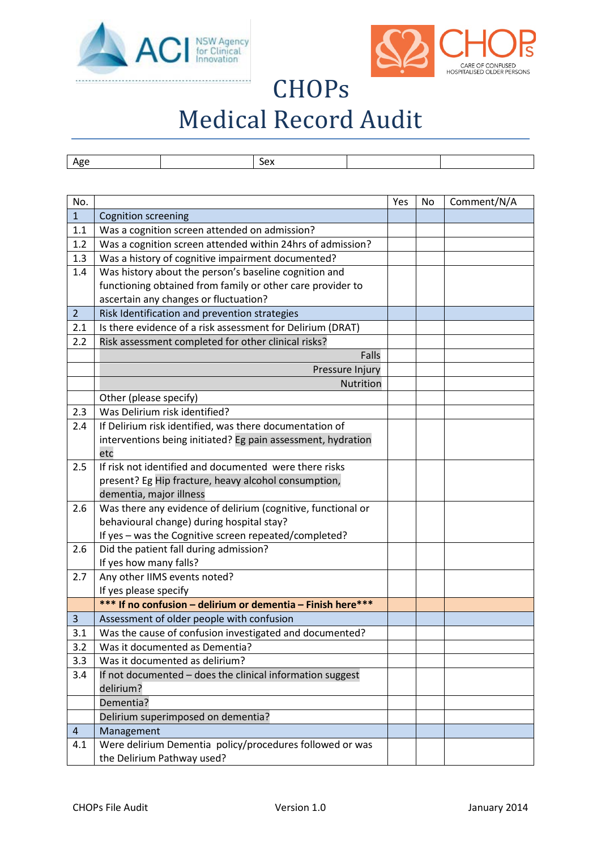



## **CHOPs** Medical Record Audit

| $\sim$<br><b>AP</b> | <b>SAX</b><br>ーー<br>__ |  |
|---------------------|------------------------|--|

| No.            |                                                              | Yes | No | Comment/N/A |
|----------------|--------------------------------------------------------------|-----|----|-------------|
| $\mathbf{1}$   | <b>Cognition screening</b>                                   |     |    |             |
| 1.1            | Was a cognition screen attended on admission?                |     |    |             |
| 1.2            | Was a cognition screen attended within 24hrs of admission?   |     |    |             |
| 1.3            | Was a history of cognitive impairment documented?            |     |    |             |
| 1.4            | Was history about the person's baseline cognition and        |     |    |             |
|                | functioning obtained from family or other care provider to   |     |    |             |
|                | ascertain any changes or fluctuation?                        |     |    |             |
| $\overline{2}$ | Risk Identification and prevention strategies                |     |    |             |
| 2.1            | Is there evidence of a risk assessment for Delirium (DRAT)   |     |    |             |
| 2.2            | Risk assessment completed for other clinical risks?          |     |    |             |
|                | Falls                                                        |     |    |             |
|                | Pressure Injury                                              |     |    |             |
|                | Nutrition                                                    |     |    |             |
|                | Other (please specify)                                       |     |    |             |
| 2.3            | Was Delirium risk identified?                                |     |    |             |
| 2.4            | If Delirium risk identified, was there documentation of      |     |    |             |
|                | interventions being initiated? Eg pain assessment, hydration |     |    |             |
|                | etc                                                          |     |    |             |
| 2.5            | If risk not identified and documented were there risks       |     |    |             |
|                | present? Eg Hip fracture, heavy alcohol consumption,         |     |    |             |
|                | dementia, major illness                                      |     |    |             |
| 2.6            | Was there any evidence of delirium (cognitive, functional or |     |    |             |
|                | behavioural change) during hospital stay?                    |     |    |             |
|                | If yes - was the Cognitive screen repeated/completed?        |     |    |             |
| 2.6            | Did the patient fall during admission?                       |     |    |             |
|                | If yes how many falls?                                       |     |    |             |
| 2.7            | Any other IIMS events noted?                                 |     |    |             |
|                | If yes please specify                                        |     |    |             |
|                | *** If no confusion - delirium or dementia - Finish here***  |     |    |             |
| $\overline{3}$ | Assessment of older people with confusion                    |     |    |             |
| 3.1            | Was the cause of confusion investigated and documented?      |     |    |             |
| 3.2            | Was it documented as Dementia?                               |     |    |             |
| 3.3            | Was it documented as delirium?                               |     |    |             |
| 3.4            | If not documented - does the clinical information suggest    |     |    |             |
|                | delirium?                                                    |     |    |             |
|                | Dementia?                                                    |     |    |             |
|                | Delirium superimposed on dementia?                           |     |    |             |
| $\overline{4}$ | Management                                                   |     |    |             |
| 4.1            | Were delirium Dementia policy/procedures followed or was     |     |    |             |
|                | the Delirium Pathway used?                                   |     |    |             |